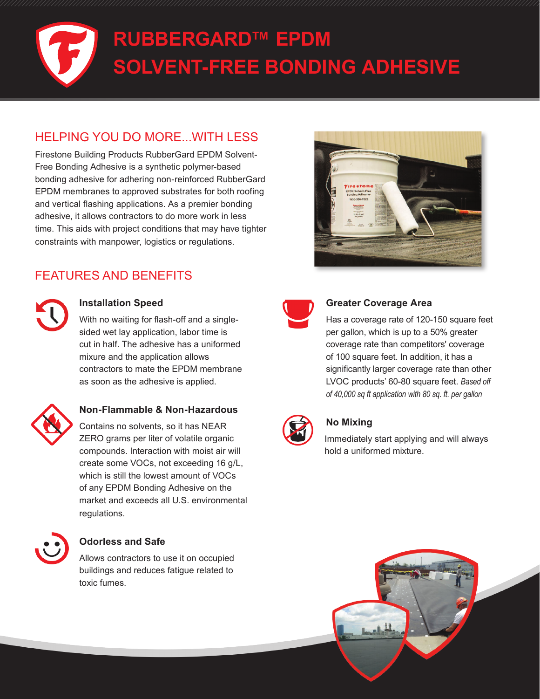# **RUBBERGARD™ EPDM SOLVENT-FREE BONDING ADHESIVE**

# HELPING YOU DO MORE...WITH LESS

Firestone Building Products RubberGard EPDM Solvent-Free Bonding Adhesive is a synthetic polymer-based bonding adhesive for adhering non-reinforced RubberGard EPDM membranes to approved substrates for both roofing and vertical flashing applications. As a premier bonding adhesive, it allows contractors to do more work in less time. This aids with project conditions that may have tighter constraints with manpower, logistics or regulations.

# FEATURES AND BENEFITS



#### **Installation Speed**

With no waiting for flash-off and a singlesided wet lay application, labor time is cut in half. The adhesive has a uniformed mixure and the application allows contractors to mate the EPDM membrane as soon as the adhesive is applied.



#### **Non-Flammable & Non-Hazardous**

Contains no solvents, so it has NEAR ZERO grams per liter of volatile organic compounds. Interaction with moist air will create some VOCs, not exceeding 16 g/L, which is still the lowest amount of VOCs of any EPDM Bonding Adhesive on the market and exceeds all U.S. environmental regulations.



#### **Odorless and Safe**

Allows contractors to use it on occupied buildings and reduces fatigue related to toxic fumes.





#### **Greater Coverage Area**

Has a coverage rate of 120-150 square feet per gallon, which is up to a 50% greater coverage rate than competitors' coverage of 100 square feet. In addition, it has a significantly larger coverage rate than other LVOC products' 60-80 square feet. *Based off of 40,000 sq ft application with 80 sq. ft. per gallon*



#### **No Mixing**

Immediately start applying and will always hold a uniformed mixture.